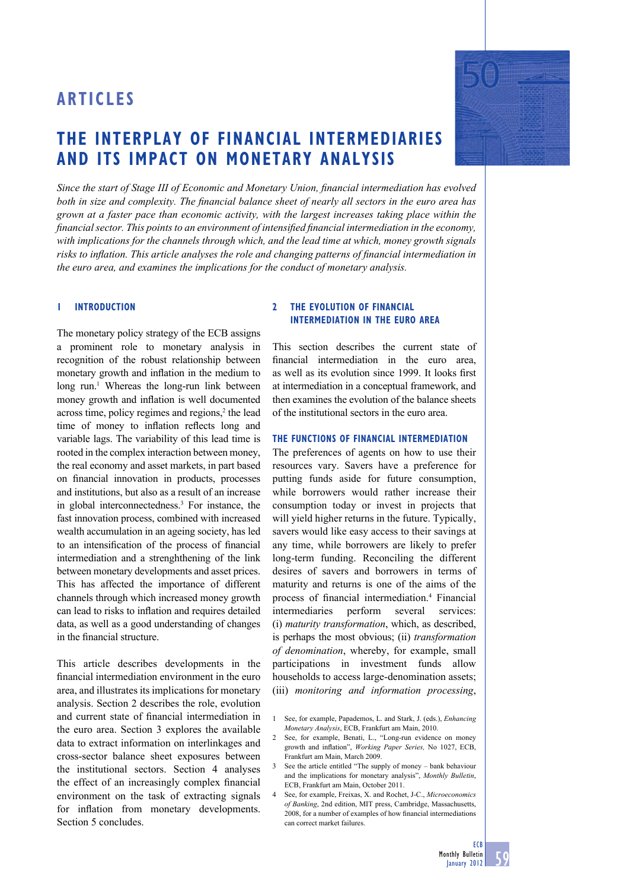# **THE INTERPLAY OF FINANCIAL INTERMEDIARIES AND ITS IMPACT ON MONETARY ANALYSIS**

Since the start of Stage III of Economic and Monetary Union, financial intermediation has evolved *both in size and complexity. The financial balance sheet of nearly all sectors in the euro area has grown at a faster pace than economic activity, with the largest increases taking place within the financial sector. This points to an environment of intensified financial intermediation in the economy, with implications for the channels through which, and the lead time at which, money growth signals*  risks to inflation. This article analyses the role and changing patterns of financial intermediation in *the euro area, and examines the implications for the conduct of monetary analysis.* 

# **1 INTRODUCTION**

The monetary policy strategy of the ECB assigns a prominent role to monetary analysis in recognition of the robust relationship between monetary growth and inflation in the medium to long run.<sup>1</sup> Whereas the long-run link between money growth and inflation is well documented across time, policy regimes and regions,<sup>2</sup> the lead time of money to inflation reflects long and variable lags. The variability of this lead time is rooted in the complex interaction between money, the real economy and asset markets, in part based on financial innovation in products, processes and institutions, but also as a result of an increase in global interconnectedness.3 For instance, the fast innovation process, combined with increased wealth accumulation in an ageing society, has led to an intensification of the process of financial intermediation and a strenghthening of the link between monetary developments and asset prices. This has affected the importance of different channels through which increased money growth can lead to risks to inflation and requires detailed data, as well as a good understanding of changes in the financial structure.

This article describes developments in the financial intermediation environment in the euro area, and illustrates its implications for monetary analysis. Section 2 describes the role, evolution and current state of financial intermediation in the euro area. Section 3 explores the available data to extract information on interlinkages and cross-sector balance sheet exposures between the institutional sectors. Section 4 analyses the effect of an increasingly complex financial environment on the task of extracting signals for inflation from monetary developments. Section 5 concludes.

# **2 THE EVOLUTION OF FINANCIAL INTERMEDIATION IN THE EURO AREA**

This section describes the current state of financial intermediation in the euro area as well as its evolution since 1999. It looks first at intermediation in a conceptual framework, and then examines the evolution of the balance sheets of the institutional sectors in the euro area.

## **THE FUNCTIONS OF FINANCIAL INTERMEDIATION**

The preferences of agents on how to use their resources vary. Savers have a preference for putting funds aside for future consumption, while borrowers would rather increase their consumption today or invest in projects that will yield higher returns in the future. Typically, savers would like easy access to their savings at any time, while borrowers are likely to prefer long-term funding. Reconciling the different desires of savers and borrowers in terms of maturity and returns is one of the aims of the process of financial intermediation.<sup>4</sup> Financial intermediaries perform several services: (i) *maturity transformation*, which, as described, is perhaps the most obvious; (ii) *transformation of denomination*, whereby, for example, small participations in investment funds allow households to access large-denomination assets; (iii) *monitoring and information processing*,

- 2 See, for example, Benati, L., "Long-run evidence on money growth and inflation", *Working Paper Series*, No 1027, ECB, Frankfurt am Main, March 2009.
- 3 See the article entitled "The supply of money bank behaviour and the implications for monetary analysis", *Monthly Bulletin*, ECB, Frankfurt am Main, October 2011.
- 4 See, for example, Freixas, X. and Rochet, J-C., *Microeconomics of Banking*, 2nd edition, MIT press, Cambridge, Massachusetts, 2008, for a number of examples of how financial intermediations can correct market failures.



<sup>1</sup> See, for example, Papademos, L. and Stark, J. (eds.), *Enhancing Monetary Analysis*, ECB, Frankfurt am Main, 2010.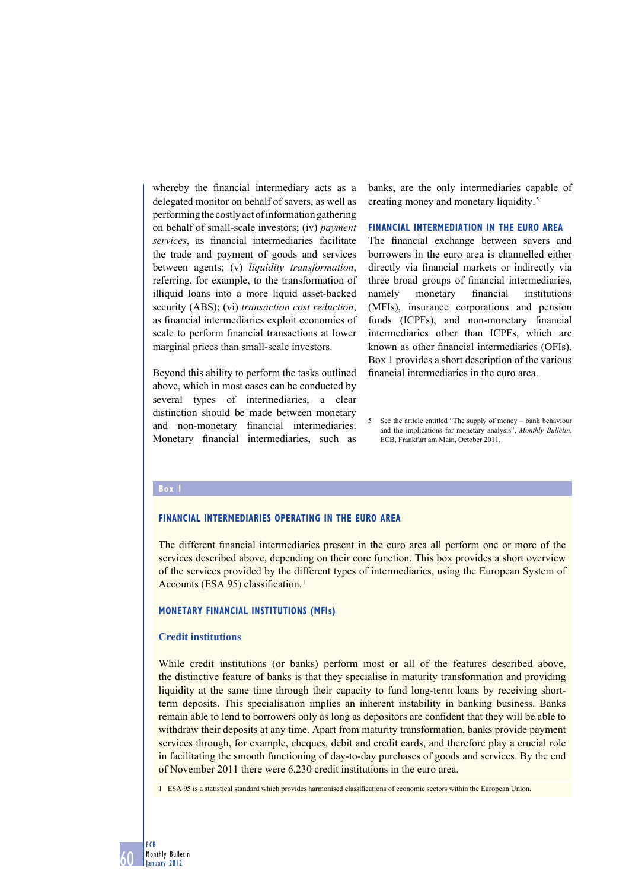whereby the financial intermediary acts as a delegated monitor on behalf of savers, as well as performing the costly act of information gathering on behalf of small-scale investors; (iv) *payment services* as financial intermediaries facilitate the trade and payment of goods and services between agents; (v) *liquidity transformation*, referring, for example, to the transformation of illiquid loans into a more liquid asset-backed security (ABS); (vi) *transaction cost reduction*, as financial intermediaries exploit economies of scale to perform financial transactions at lower marginal prices than small-scale investors.

Beyond this ability to perform the tasks outlined above, which in most cases can be conducted by several types of intermediaries, a clear distinction should be made between monetary and non-monetary financial intermediaries. Monetary financial intermediaries, such as banks, are the only intermediaries capable of creating money and monetary liquidity. 5

#### **FINANCIAL INTERMEDIATION IN THE EURO AREA**

The financial exchange between savers and borrowers in the euro area is channelled either directly via financial markets or indirectly via three broad groups of financial intermediaries, namely monetary financial institutions (MFIs), insurance corporations and pension funds (ICPFs), and non-monetary financial intermediaries other than ICPFs, which are known as other financial intermediaries (OFIs). Box 1 provides a short description of the various financial intermediaries in the euro area.

#### **Box 1**

60

ECB Monthly Bulletin January 2012

## **FINANCIAL INTERMEDIARIES OPERATING IN THE EURO AREA**

The different financial intermediaries present in the euro area all perform one or more of the services described above, depending on their core function. This box provides a short overview of the services provided by the different types of intermediaries, using the European System of Accounts (ESA 95) classification.<sup>1</sup>

#### **MONETARY FINANCIAL INSTITUTIONS (MFIs)**

#### **Credit institutions**

While credit institutions (or banks) perform most or all of the features described above, the distinctive feature of banks is that they specialise in maturity transformation and providing liquidity at the same time through their capacity to fund long-term loans by receiving shortterm deposits. This specialisation implies an inherent instability in banking business. Banks remain able to lend to borrowers only as long as depositors are confident that they will be able to withdraw their deposits at any time. Apart from maturity transformation, banks provide payment services through, for example, cheques, debit and credit cards, and therefore play a crucial role in facilitating the smooth functioning of day-to-day purchases of goods and services. By the end of November 2011 there were 6,230 credit institutions in the euro area.

1 ESA 95 is a statistical standard which provides harmonised classifications of economic sectors within the European Union.

<sup>5</sup> See the article entitled "The supply of money – bank behaviour and the implications for monetary analysis", *Monthly Bulletin*, ECB, Frankfurt am Main, October 2011.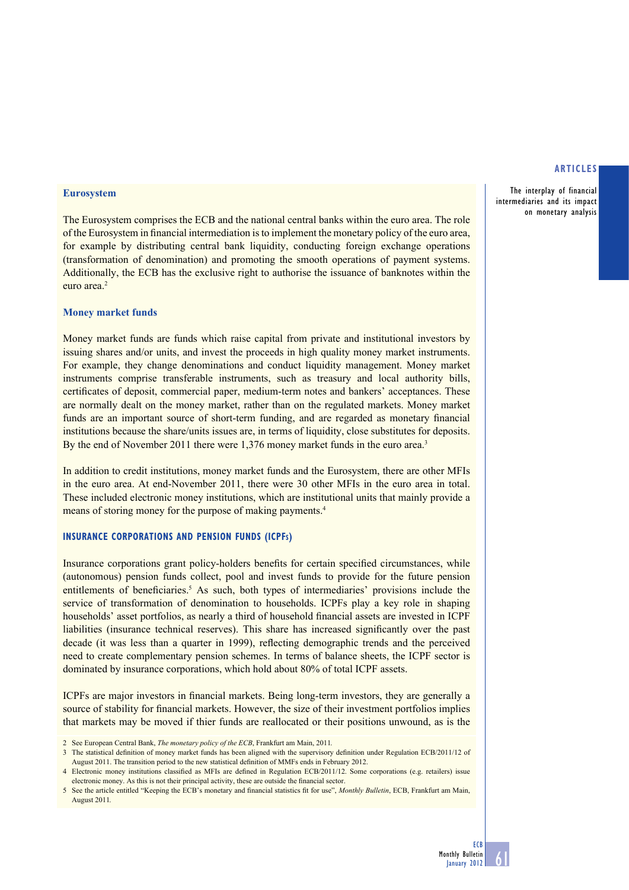The interplay of financial intermediaries and its impact on monetary analysis

### **Eurosystem**

The Eurosystem comprises the ECB and the national central banks within the euro area. The role of the Eurosystem in financial intermediation is to implement the monetary policy of the euro area, for example by distributing central bank liquidity, conducting foreign exchange operations (transformation of denomination) and promoting the smooth operations of payment systems. Additionally, the ECB has the exclusive right to authorise the issuance of banknotes within the euro area<sup>2</sup>

## **Money market funds**

Money market funds are funds which raise capital from private and institutional investors by issuing shares and/or units, and invest the proceeds in high quality money market instruments. For example, they change denominations and conduct liquidity management. Money market instruments comprise transferable instruments, such as treasury and local authority bills, certificates of deposit, commercial paper, medium-term notes and bankers' acceptances. These are normally dealt on the money market, rather than on the regulated markets. Money market funds are an important source of short-term funding, and are regarded as monetary financial institutions because the share/units issues are, in terms of liquidity, close substitutes for deposits. By the end of November 2011 there were 1,376 money market funds in the euro area.<sup>3</sup>

In addition to credit institutions, money market funds and the Eurosystem, there are other MFIs in the euro area. At end-November 2011, there were 30 other MFIs in the euro area in total. These included electronic money institutions, which are institutional units that mainly provide a means of storing money for the purpose of making payments.4

# **INSURANCE CORPORATIONS AND PENSION FUNDS (ICPFS)**

Insurance corporations grant policy-holders benefits for certain specified circumstances, while (autonomous) pension funds collect, pool and invest funds to provide for the future pension entitlements of beneficiaries.<sup>5</sup> As such, both types of intermediaries' provisions include the service of transformation of denomination to households. ICPFs play a key role in shaping households' asset portfolios, as nearly a third of household financial assets are invested in ICPF liabilities (insurance technical reserves). This share has increased significantly over the past decade (it was less than a quarter in 1999), reflecting demographic trends and the perceived need to create complementary pension schemes. In terms of balance sheets, the ICPF sector is dominated by insurance corporations, which hold about 80% of total ICPF assets.

ICPFs are major investors in financial markets. Being long-term investors, they are generally a source of stability for financial markets. However, the size of their investment portfolios implies that markets may be moved if thier funds are reallocated or their positions unwound, as is the

<sup>2</sup> See European Central Bank, *The monetary policy of the ECB*, Frankfurt am Main, 2011.

<sup>3</sup> The statistical definition of money market funds has been aligned with the supervisory definition under Regulation ECB/2011/12 of August 2011. The transition period to the new statistical definition of MMFs ends in February 2012.

<sup>4</sup> Electronic money institutions classified as MFIs are defined in Regulation ECB/2011/12. Some corporations (e.g. retailers) issue electronic money. As this is not their principal activity, these are outside the financial sector.

<sup>5</sup> See the article entitled "Keeping the ECB's monetary and financial statistics fit for use", *Monthly Bulletin*, ECB, Frankfurt am Main, August 2011.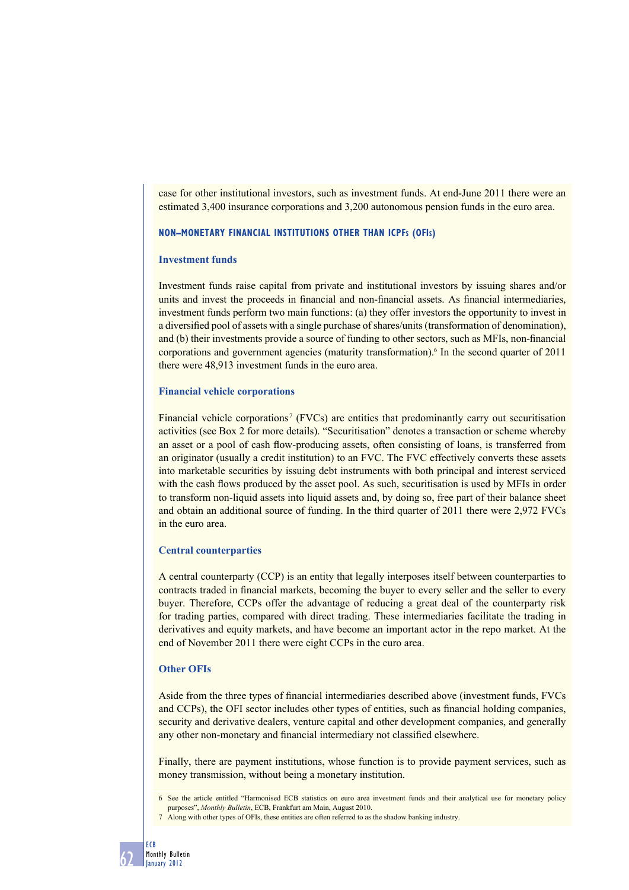case for other institutional investors, such as investment funds. At end-June 2011 there were an estimated 3,400 insurance corporations and 3,200 autonomous pension funds in the euro area.

## **NON–MONETARY FINANCIAL INSTITUTIONS OTHER THAN ICPFS (OFIS)**

## **Investment funds**

Investment funds raise capital from private and institutional investors by issuing shares and/or units and invest the proceeds in financial and non-financial assets. As financial intermediaries, investment funds perform two main functions: (a) they offer investors the opportunity to invest in a diversified pool of assets with a single purchase of shares/units (transformation of denomination), and (b) their investments provide a source of funding to other sectors, such as MFIs, non-financial corporations and government agencies (maturity transformation).<sup>6</sup> In the second quarter of 2011 there were 48,913 investment funds in the euro area.

#### **Financial vehicle corporations**

Financial vehicle corporations<sup>7</sup> (FVCs) are entities that predominantly carry out securitisation activities (see Box 2 for more details). "Securitisation" denotes a transaction or scheme whereby an asset or a pool of cash flow-producing assets, often consisting of loans, is transferred from an originator (usually a credit institution) to an FVC. The FVC effectively converts these assets into marketable securities by issuing debt instruments with both principal and interest serviced with the cash flows produced by the asset pool. As such, securitisation is used by MFIs in order to transform non-liquid assets into liquid assets and, by doing so, free part of their balance sheet and obtain an additional source of funding. In the third quarter of 2011 there were 2,972 FVCs in the euro area.

## **Central counterparties**

A central counterparty (CCP) is an entity that legally interposes itself between counterparties to contracts traded in financial markets, becoming the buyer to every seller and the seller to every buyer. Therefore, CCPs offer the advantage of reducing a great deal of the counterparty risk for trading parties, compared with direct trading. These intermediaries facilitate the trading in derivatives and equity markets, and have become an important actor in the repo market. At the end of November 2011 there were eight CCPs in the euro area.

## **Other OFIs**

Aside from the three types of financial intermediaries described above (investment funds, FVCs and CCPs), the OFI sector includes other types of entities, such as financial holding companies, security and derivative dealers, venture capital and other development companies, and generally any other non-monetary and financial intermediary not classified elsewhere.

Finally, there are payment institutions, whose function is to provide payment services, such as money transmission, without being a monetary institution.

6 See the article entitled "Harmonised ECB statistics on euro area investment funds and their analytical use for monetary policy purposes", *Monthly Bulletin*, ECB, Frankfurt am Main, August 2010.

7 Along with other types of OFIs, these entities are often referred to as the shadow banking industry.

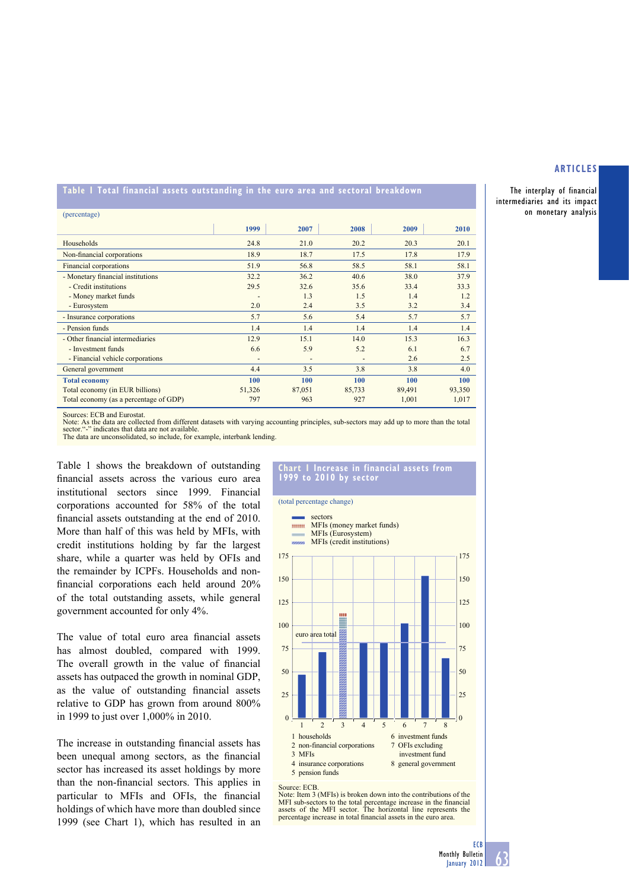The interplay of financial intermediaries and its impact on monetary analysis

**Table 1 Total financial assets outstanding in the euro area and sectoral breakdown**

| (percentage)                           |        |                |        |        |        |
|----------------------------------------|--------|----------------|--------|--------|--------|
|                                        | 1999   | 2007           | 2008   | 2009   | 2010   |
| Households                             | 24.8   | 21.0           | 20.2   | 20.3   | 20.1   |
| Non-financial corporations             | 18.9   | 18.7           | 17.5   | 17.8   | 17.9   |
| Financial corporations                 | 51.9   | 56.8           | 58.5   | 58.1   | 58.1   |
| - Monetary financial institutions      | 32.2   | 36.2           | 40.6   | 38.0   | 37.9   |
| - Credit institutions                  | 29.5   | 32.6           | 35.6   | 33.4   | 33.3   |
| - Money market funds                   |        | 1.3            | 1.5    | 1.4    | 1.2    |
| - Eurosystem                           | 2.0    | 2.4            | 3.5    | 3.2    | 3.4    |
| - Insurance corporations               | 5.7    | 5.6            | 5.4    | 5.7    | 5.7    |
| - Pension funds                        | 1.4    | 1.4            | 1.4    | 1.4    | 1.4    |
| - Other financial intermediaries       | 12.9   | 15.1           | 14.0   | 15.3   | 16.3   |
| - Investment funds                     | 6.6    | 5.9            | 5.2    | 6.1    | 6.7    |
| - Financial vehicle corporations       | -      | $\overline{a}$ | ٠      | 2.6    | 2.5    |
| General government                     | 4.4    | 3.5            | 3.8    | 3.8    | 4.0    |
| <b>Total economy</b>                   | 100    | 100            | 100    | 100    | 100    |
| Total economy (in EUR billions)        | 51,326 | 87,051         | 85,733 | 89,491 | 93,350 |
| Total economy (as a percentage of GDP) | 797    | 963            | 927    | 1,001  | 1,017  |

Sources: ECB and Eurostat.

Note: As the data are collected from different datasets with varying accounting principles, sub-sectors may add up to more than the total sector."-" indicates that data are not available.<br>The data are unconsolidated, so include, for example, interbank lending.

Table 1 shows the breakdown of outstanding financial assets across the various euro area institutional sectors since 1999. Financial corporations accounted for 58% of the total financial assets outstanding at the end of 2010. More than half of this was held by MFIs, with credit institutions holding by far the largest share, while a quarter was held by OFIs and the remainder by ICPFs. Households and nonfinancial corporations each held around 20% of the total outstanding assets, while general government accounted for only 4%.

The value of total euro area financial assets has almost doubled, compared with 1999. The overall growth in the value of financial assets has outpaced the growth in nominal GDP, as the value of outstanding financial assets relative to GDP has grown from around 800% in 1999 to just over 1,000% in 2010.

The increase in outstanding financial assets has been unequal among sectors, as the financial sector has increased its asset holdings by more than the non-financial sectors. This applies in particular to MFIs and OFIs, the financial holdings of which have more than doubled since 1999 (see Chart 1), which has resulted in an

#### **Chart 1 Increase in financial assets from 1999 to 2010 by sector**

(total percentage change)



Source: ECB.

EXECTED: Item 3 (MFIs) is broken down into the contributions of the MFI sub-sectors to the total percentage increase in the financial assets of the MFI sector. The horizontal line represents the percentage increase in total financial assets in the euro area.

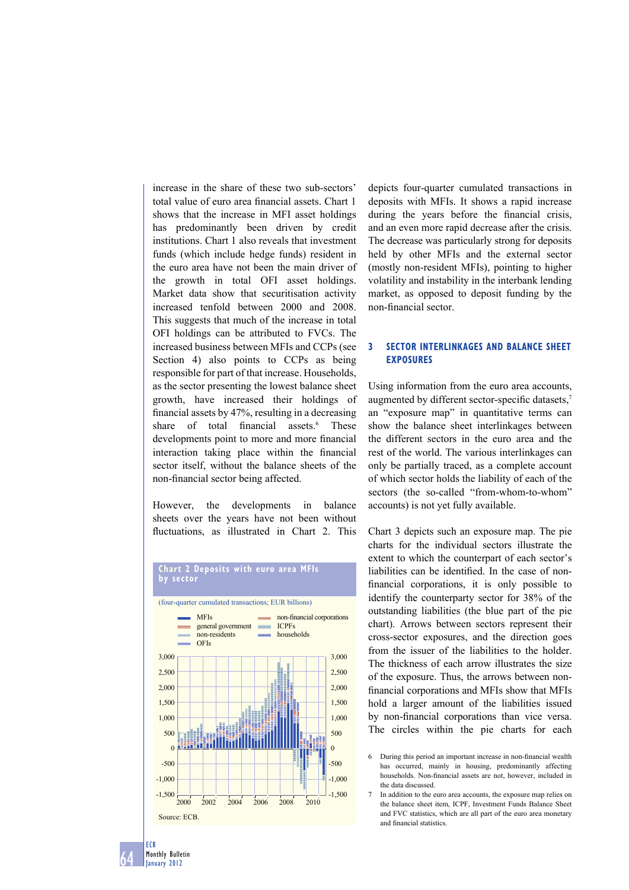increase in the share of these two sub-sectors' total value of euro area financial assets. Chart 1 shows that the increase in MFI asset holdings has predominantly been driven by credit institutions. Chart 1 also reveals that investment funds (which include hedge funds) resident in the euro area have not been the main driver of the growth in total OFI asset holdings. Market data show that securitisation activity increased tenfold between 2000 and 2008. This suggests that much of the increase in total OFI holdings can be attributed to FVCs. The increased business between MFIs and CCPs (see Section 4) also points to CCPs as being responsible for part of that increase. Households, as the sector presenting the lowest balance sheet growth, have increased their holdings of financial assets by  $47%$ , resulting in a decreasing share of total financial assets. $6$  These developments point to more and more financial interaction taking place within the financial sector itself, without the balance sheets of the non-financial sector being affected.

However, the developments in balance sheets over the years have not been without fluctuations, as illustrated in Chart 2. This



#### **Chart 2 Deposits with euro area MFIs by sector**

depicts four-quarter cumulated transactions in deposits with MFIs. It shows a rapid increase during the years before the financial crisis, and an even more rapid decrease after the crisis. The decrease was particularly strong for deposits held by other MFIs and the external sector (mostly non-resident MFIs), pointing to higher volatility and instability in the interbank lending market, as opposed to deposit funding by the non-financial sector.

# **3 SECTOR INTERLINKAGES AND BALANCE SHEET EXPOSURES**

Using information from the euro area accounts, augmented by different sector-specific datasets,<sup>7</sup> an "exposure map" in quantitative terms can show the balance sheet interlinkages between the different sectors in the euro area and the rest of the world. The various interlinkages can only be partially traced, as a complete account of which sector holds the liability of each of the sectors (the so-called "from-whom-to-whom" accounts) is not yet fully available.

Chart 3 depicts such an exposure map. The pie charts for the individual sectors illustrate the extent to which the counterpart of each sector's liabilities can be identified. In the case of nonfinancial corporations, it is only possible to identify the counterparty sector for 38% of the outstanding liabilities (the blue part of the pie chart). Arrows between sectors represent their cross-sector exposures, and the direction goes from the issuer of the liabilities to the holder. The thickness of each arrow illustrates the size of the exposure. Thus, the arrows between nonfinancial corporations and MFIs show that MFIs hold a larger amount of the liabilities issued by non-financial corporations than vice versa. The circles within the pie charts for each

<sup>6</sup> During this period an important increase in non-financial wealth has occurred, mainly in housing, predominantly affecting households. Non-financial assets are not, however, included in the data discussed.

<sup>7</sup> In addition to the euro area accounts, the exposure map relies on the balance sheet item, ICPF, Investment Funds Balance Sheet and FVC statistics, which are all part of the euro area monetary and financial statistics.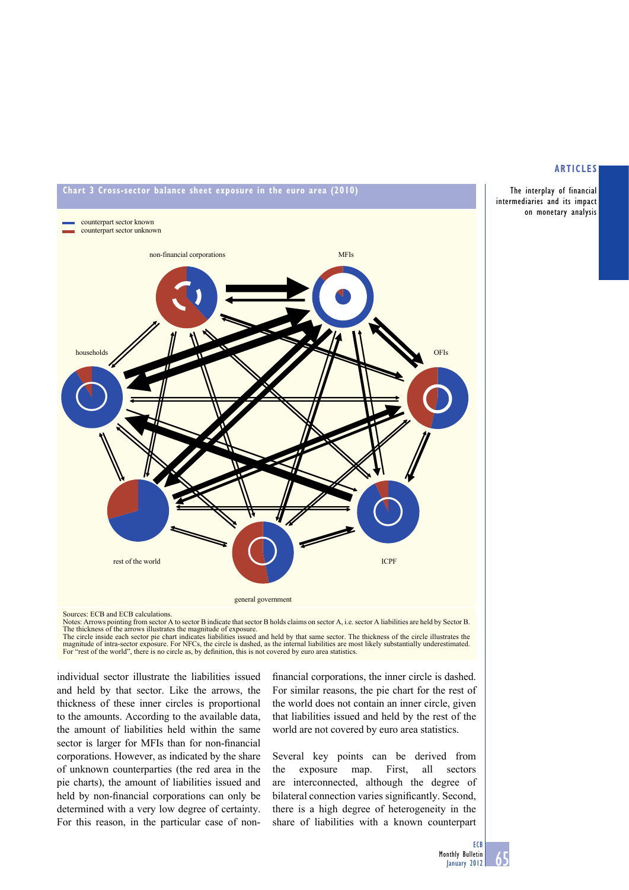



Notes: Arrows pointing from sector A to sector B indicate that sector B holds claims on sector A, i.e. sector A liabilities are held by Sector B. The thickness of the arrows illustrates the magnitude of exposure.

The circle inside each sector pie chart indicates liabilities issued and held by that same sector. The thickness of the circle illustrates the magnitude of intra-sector exposure. For NFCs, the circle is dashed, as the internal liabilities are most likely substantially underestimated.<br>For "rest of the world" there is no circle as by definition this is not covered For the world", there is no circle as, by definition, this is not covered by euro area statistics.

individual sector illustrate the liabilities issued and held by that sector. Like the arrows, the thickness of these inner circles is proportional to the amounts. According to the available data, the amount of liabilities held within the same sector is larger for MFIs than for non-financial corporations. However, as indicated by the share of unknown counterparties (the red area in the pie charts), the amount of liabilities issued and held by non-financial corporations can only be determined with a very low degree of certainty. For this reason, in the particular case of nonfinancial corporations, the inner circle is dashed. For similar reasons, the pie chart for the rest of the world does not contain an inner circle, given that liabilities issued and held by the rest of the world are not covered by euro area statistics.

Several key points can be derived from the exposure map. First, all sectors are interconnected, although the degree of bilateral connection varies significantly. Second, there is a high degree of heterogeneity in the share of liabilities with a known counterpart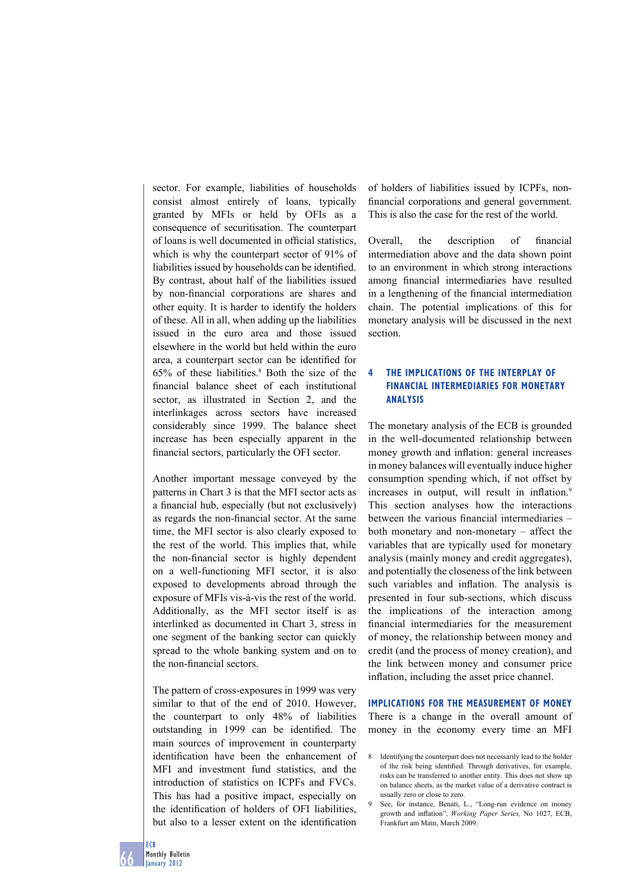sector. For example, liabilities of households consist almost entirely of loans, typically granted by MFIs or held by OFIs as a consequence of securitisation. The counterpart of loans is well documented in official statistics which is why the counterpart sector of 91% of liabilities issued by households can be identified. By contrast, about half of the liabilities issued by non-financial corporations are shares and other equity. It is harder to identify the holders of these. All in all, when adding up the liabilities issued in the euro area and those issued elsewhere in the world but held within the euro area, a counterpart sector can be identified for  $65\%$  of these liabilities.<sup>8</sup> Both the size of the financial balance sheet of each institutional sector, as illustrated in Section 2, and the interlinkages across sectors have increased considerably since 1999. The balance sheet increase has been especially apparent in the financial sectors, particularly the OFI sector.

Another important message conveyed by the patterns in Chart 3 is that the MFI sector acts as a financial hub, especially (but not exclusively) as regards the non-financial sector. At the same time, the MFI sector is also clearly exposed to the rest of the world. This implies that, while the non-financial sector is highly dependent on a well-functioning MFI sector, it is also exposed to developments abroad through the exposure of MFIs vis-à-vis the rest of the world. Additionally, as the MFI sector itself is as interlinked as documented in Chart 3, stress in one segment of the banking sector can quickly spread to the whole banking system and on to the non-financial sectors.

The pattern of cross-exposures in 1999 was very similar to that of the end of 2010. However, the counterpart to only 48% of liabilities outstanding in 1999 can be identified. The main sources of improvement in counterparty identification have been the enhancement of MFI and investment fund statistics, and the introduction of statistics on ICPFs and FVCs. This has had a positive impact, especially on the identification of holders of OFI liabilities. but also to a lesser extent on the identification

of holders of liabilities issued by ICPFs, nonfinancial corporations and general government. This is also the case for the rest of the world.

Overall, the description of financial intermediation above and the data shown point to an environment in which strong interactions among financial intermediaries have resulted in a lengthening of the financial intermediation chain. The potential implications of this for monetary analysis will be discussed in the next section.

# **4 THE IMPLICATIONS OF THE INTERPLAY OF FINANCIAL INTERMEDIARIES FOR MONETARY ANALYSIS**

The monetary analysis of the ECB is grounded in the well-documented relationship between money growth and inflation: general increases in money balances will eventually induce higher consumption spending which, if not offset by increases in output, will result in inflation.<sup>9</sup> This section analyses how the interactions between the various financial intermediaries – both monetary and non-monetary – affect the variables that are typically used for monetary analysis (mainly money and credit aggregates), and potentially the closeness of the link between such variables and inflation. The analysis is presented in four sub-sections, which discuss the implications of the interaction among financial intermediaries for the measurement of money, the relationship between money and credit (and the process of money creation), and the link between money and consumer price inflation, including the asset price channel.

**IMPLICATIONS FOR THE MEASUREMENT OF MONEY** There is a change in the overall amount of money in the economy every time an MFI

<sup>8</sup> Identifying the counterpart does not necessarily lead to the holder of the risk being identified. Through derivatives, for example, risks can be transferred to another entity. This does not show up on balance sheets, as the market value of a derivative contract is usually zero or close to zero.

<sup>9</sup> See, for instance, Benati, L., "Long-run evidence on money growth and inflation", *Working Paper Series*, No 1027, ECB, Frankfurt am Main, March 2009.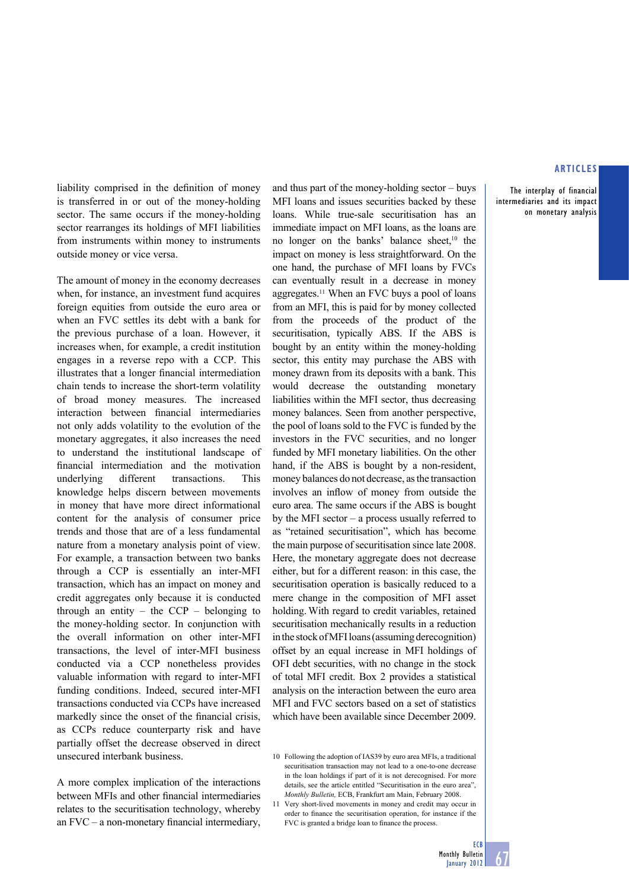The interplay of financial intermediaries and its impact on monetary analysis

liability comprised in the definition of money is transferred in or out of the money-holding sector. The same occurs if the money-holding sector rearranges its holdings of MFI liabilities from instruments within money to instruments outside money or vice versa.

The amount of money in the economy decreases when, for instance, an investment fund acquires foreign equities from outside the euro area or when an FVC settles its debt with a bank for the previous purchase of a loan. However, it increases when, for example, a credit institution engages in a reverse repo with a CCP. This illustrates that a longer financial intermediation chain tends to increase the short-term volatility of broad money measures. The increased interaction between financial intermediaries not only adds volatility to the evolution of the monetary aggregates, it also increases the need to understand the institutional landscape of financial intermediation and the motivation underlying different transactions. This knowledge helps discern between movements in money that have more direct informational content for the analysis of consumer price trends and those that are of a less fundamental nature from a monetary analysis point of view. For example, a transaction between two banks through a CCP is essentially an inter-MFI transaction, which has an impact on money and credit aggregates only because it is conducted through an entity – the  $CCP$  – belonging to the money-holding sector. In conjunction with the overall information on other inter-MFI transactions, the level of inter-MFI business conducted via a CCP nonetheless provides valuable information with regard to inter-MFI funding conditions. Indeed, secured inter-MFI transactions conducted via CCPs have increased markedly since the onset of the financial crisis, as CCPs reduce counterparty risk and have partially offset the decrease observed in direct unsecured interbank business.

A more complex implication of the interactions between MFIs and other financial intermediaries relates to the securitisation technology, whereby an  $FVC - a$  non-monetary financial intermediary, and thus part of the money-holding sector – buys MFI loans and issues securities backed by these loans. While true-sale securitisation has an immediate impact on MFI loans, as the loans are no longer on the banks' balance sheet,<sup>10</sup> the impact on money is less straightforward. On the one hand, the purchase of MFI loans by FVCs can eventually result in a decrease in money aggregates.11 When an FVC buys a pool of loans from an MFI, this is paid for by money collected from the proceeds of the product of the securitisation, typically ABS. If the ABS is bought by an entity within the money-holding sector, this entity may purchase the ABS with money drawn from its deposits with a bank. This would decrease the outstanding monetary liabilities within the MFI sector, thus decreasing money balances. Seen from another perspective, the pool of loans sold to the FVC is funded by the investors in the FVC securities, and no longer funded by MFI monetary liabilities. On the other hand, if the ABS is bought by a non-resident, money balances do not decrease, as the transaction involves an inflow of money from outside the euro area. The same occurs if the ABS is bought by the MFI sector – a process usually referred to as "retained securitisation", which has become the main purpose of securitisation since late 2008. Here, the monetary aggregate does not decrease either, but for a different reason: in this case, the securitisation operation is basically reduced to a mere change in the composition of MFI asset holding. With regard to credit variables, retained securitisation mechanically results in a reduction in the stock of MFI loans (assuming derecognition) offset by an equal increase in MFI holdings of OFI debt securities, with no change in the stock of total MFI credit. Box 2 provides a statistical analysis on the interaction between the euro area MFI and FVC sectors based on a set of statistics which have been available since December 2009.

10 Following the adoption of IAS39 by euro area MFIs, a traditional securitisation transaction may not lead to a one-to-one decrease in the loan holdings if part of it is not derecognised. For more details, see the article entitled "Securitisation in the euro area", *Monthly Bulletin,* ECB, Frankfurt am Main, February 2008.



<sup>11</sup> Very short-lived movements in money and credit may occur in order to finance the securitisation operation, for instance if the FVC is granted a bridge loan to finance the process.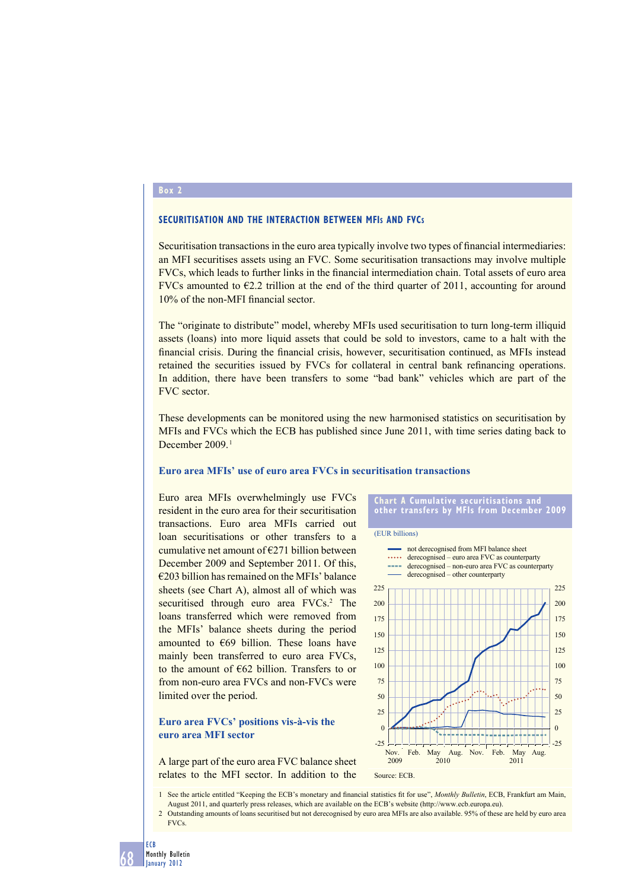# **Box 2**

#### **SECURITISATION AND THE INTERACTION BETWEEN MFIS AND FVCS**

Securitisation transactions in the euro area typically involve two types of financial intermediaries: an MFI securitises assets using an FVC. Some securitisation transactions may involve multiple FVCs, which leads to further links in the financial intermediation chain. Total assets of euro area FVCs amounted to  $E2.2$  trillion at the end of the third quarter of 2011, accounting for around 10% of the non-MFI financial sector.

The "originate to distribute" model, whereby MFIs used securitisation to turn long-term illiquid assets (loans) into more liquid assets that could be sold to investors, came to a halt with the financial crisis. During the financial crisis, however, securitisation continued, as MFIs instead retained the securities issued by FVCs for collateral in central bank refinancing operations. In addition, there have been transfers to some "bad bank" vehicles which are part of the FVC sector.

These developments can be monitored using the new harmonised statistics on securitisation by MFIs and FVCs which the ECB has published since June 2011, with time series dating back to December 2009.<sup>1</sup>

#### **Euro area MFIs' use of euro area FVCs in securitisation transactions**

Euro area MFIs overwhelmingly use FVCs resident in the euro area for their securitisation transactions. Euro area MFIs carried out loan securitisations or other transfers to a cumulative net amount of  $E271$  billion between December 2009 and September 2011. Of this, €203 billion has remained on the MFIs' balance sheets (see Chart A), almost all of which was securitised through euro area FVCs.<sup>2</sup> The loans transferred which were removed from the MFIs' balance sheets during the period amounted to  $\epsilon$ 69 billion. These loans have mainly been transferred to euro area FVCs, to the amount of €62 billion. Transfers to or from non-euro area FVCs and non-FVCs were limited over the period.

# **Euro area FVCs' positions vis-à-vis the euro area MFI sector**

A large part of the euro area FVC balance sheet relates to the MFI sector. In addition to the



1 See the article entitled "Keeping the ECB's monetary and financial statistics fit for use", *Monthly Bulletin*, ECB, Frankfurt am Main, August 2011, and quarterly press releases, which are available on the ECB's website (http://www.ecb.europa.eu).

2 Outstanding amounts of loans securitised but not derecognised by euro area MFIs are also available. 95% of these are held by euro area FVCs.

ECB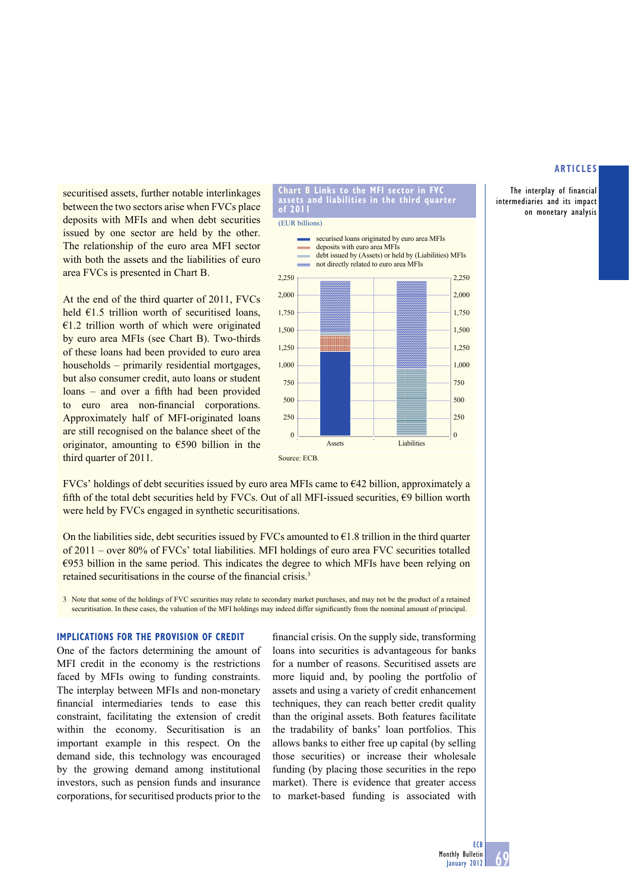The interplay of financial intermediaries and its impact on monetary analysis

securitised assets, further notable interlinkages between the two sectors arise when FVCs place deposits with MFIs and when debt securities issued by one sector are held by the other. The relationship of the euro area MFI sector with both the assets and the liabilities of euro area FVCs is presented in Chart B.

At the end of the third quarter of 2011, FVCs held  $E1.5$  trillion worth of securitised loans,  $€1.2$  trillion worth of which were originated by euro area MFIs (see Chart B). Two-thirds of these loans had been provided to euro area households – primarily residential mortgages, but also consumer credit, auto loans or student loans – and over a fifth had been provided to euro area non-financial corporations. Approximately half of MFI-originated loans are still recognised on the balance sheet of the originator, amounting to  $\epsilon$ 590 billion in the third quarter of 2011.



**Chart B Links to the MFI sector in FVC** 

FVCs' holdings of debt securities issued by euro area MFIs came to €42 billion, approximately a fifth of the total debt securities held by FVCs. Out of all MFI-issued securities,  $\epsilon$ 9 billion worth were held by FVCs engaged in synthetic securitisations.

On the liabilities side, debt securities issued by FVCs amounted to  $E1.8$  trillion in the third quarter of 2011 – over 80% of FVCs' total liabilities. MFI holdings of euro area FVC securities totalled  $\epsilon$ 953 billion in the same period. This indicates the degree to which MFIs have been relying on retained securitisations in the course of the financial crisis.<sup>3</sup>

3 Note that some of the holdings of FVC securities may relate to secondary market purchases, and may not be the product of a retained securitisation. In these cases, the valuation of the MFI holdings may indeed differ significantly from the nominal amount of principal.

#### **IMPLICATIONS FOR THE PROVISION OF CREDIT**

One of the factors determining the amount of MFI credit in the economy is the restrictions faced by MFIs owing to funding constraints. The interplay between MFIs and non-monetary financial intermediaries tends to ease this constraint, facilitating the extension of credit within the economy. Securitisation is an important example in this respect. On the demand side, this technology was encouraged by the growing demand among institutional investors, such as pension funds and insurance corporations, for securitised products prior to the

financial crisis. On the supply side, transforming loans into securities is advantageous for banks for a number of reasons. Securitised assets are more liquid and, by pooling the portfolio of assets and using a variety of credit enhancement techniques, they can reach better credit quality than the original assets. Both features facilitate the tradability of banks' loan portfolios. This allows banks to either free up capital (by selling those securities) or increase their wholesale funding (by placing those securities in the repo market). There is evidence that greater access to market-based funding is associated with

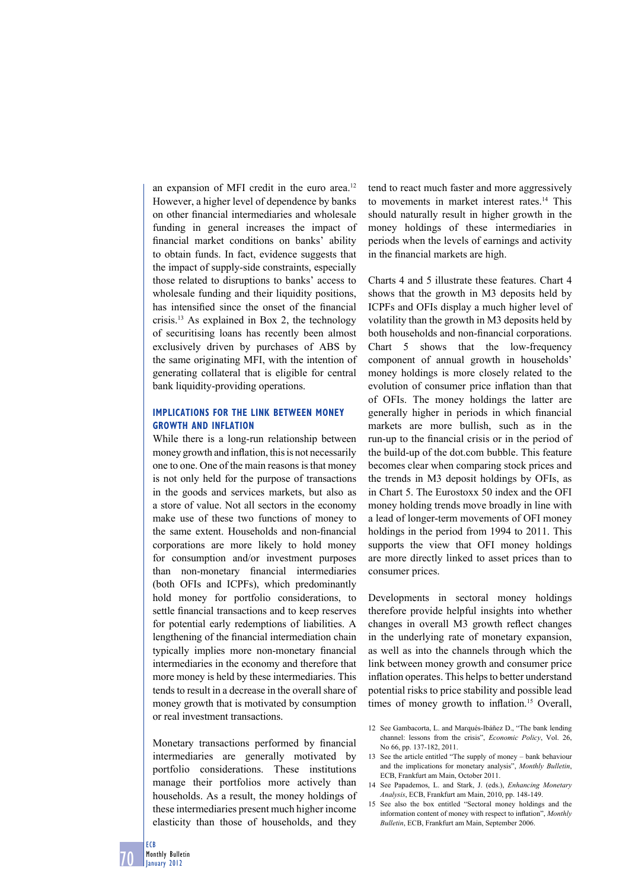an expansion of MFI credit in the euro area.<sup>12</sup> However, a higher level of dependence by banks on other financial intermediaries and wholesale funding in general increases the impact of financial market conditions on banks' ability to obtain funds. In fact, evidence suggests that the impact of supply-side constraints, especially those related to disruptions to banks' access to wholesale funding and their liquidity positions, has intensified since the onset of the financial crisis.13 As explained in Box 2, the technology of securitising loans has recently been almost exclusively driven by purchases of ABS by the same originating MFI, with the intention of generating collateral that is eligible for central bank liquidity-providing operations.

# **IMPLICATIONS FOR THE LINK BETWEEN MONEY GROWTH AND INFLATION**

While there is a long-run relationship between money growth and inflation, this is not necessarily one to one. One of the main reasons is that money is not only held for the purpose of transactions in the goods and services markets, but also as a store of value. Not all sectors in the economy make use of these two functions of money to the same extent. Households and non-financial corporations are more likely to hold money for consumption and/or investment purposes than non-monetary financial intermediaries (both OFIs and ICPFs), which predominantly hold money for portfolio considerations, to settle financial transactions and to keep reserves for potential early redemptions of liabilities. A lengthening of the financial intermediation chain typically implies more non-monetary financial intermediaries in the economy and therefore that more money is held by these intermediaries. This tends to result in a decrease in the overall share of money growth that is motivated by consumption or real investment transactions.

Monetary transactions performed by financial intermediaries are generally motivated by portfolio considerations. These institutions manage their portfolios more actively than households. As a result, the money holdings of these intermediaries present much higher income elasticity than those of households, and they

tend to react much faster and more aggressively to movements in market interest rates.<sup>14</sup> This should naturally result in higher growth in the money holdings of these intermediaries in periods when the levels of earnings and activity in the financial markets are high.

Charts 4 and 5 illustrate these features. Chart 4 shows that the growth in M3 deposits held by ICPFs and OFIs display a much higher level of volatility than the growth in M3 deposits held by both households and non-financial corporations. Chart 5 shows that the low-frequency component of annual growth in households' money holdings is more closely related to the evolution of consumer price inflation than that of OFIs. The money holdings the latter are generally higher in periods in which financial markets are more bullish, such as in the run-up to the financial crisis or in the period of the build-up of the dot.com bubble. This feature becomes clear when comparing stock prices and the trends in M3 deposit holdings by OFIs, as in Chart 5. The Eurostoxx 50 index and the OFI money holding trends move broadly in line with a lead of longer-term movements of OFI money holdings in the period from 1994 to 2011. This supports the view that OFI money holdings are more directly linked to asset prices than to consumer prices.

Developments in sectoral money holdings therefore provide helpful insights into whether changes in overall M3 growth reflect changes in the underlying rate of monetary expansion, as well as into the channels through which the link between money growth and consumer price inflation operates. This helps to better understand potential risks to price stability and possible lead times of money growth to inflation.<sup>15</sup> Overall,

- 13 See the article entitled "The supply of money bank behaviour and the implications for monetary analysis", *Monthly Bulletin*, ECB, Frankfurt am Main, October 2011.
- 14 See Papademos, L. and Stark, J. (eds.), *Enhancing Monetary Analysis*, ECB, Frankfurt am Main, 2010, pp. 148-149.
- 15 See also the box entitled "Sectoral money holdings and the information content of money with respect to inflation". *Monthly Bulletin*, ECB, Frankfurt am Main, September 2006.

ECB

<sup>12</sup> See Gambacorta, L. and Marqués-Ibáñez D., "The bank lending channel: lessons from the crisis", *Economic Policy*, Vol. 26, No 66, pp. 137-182, 2011.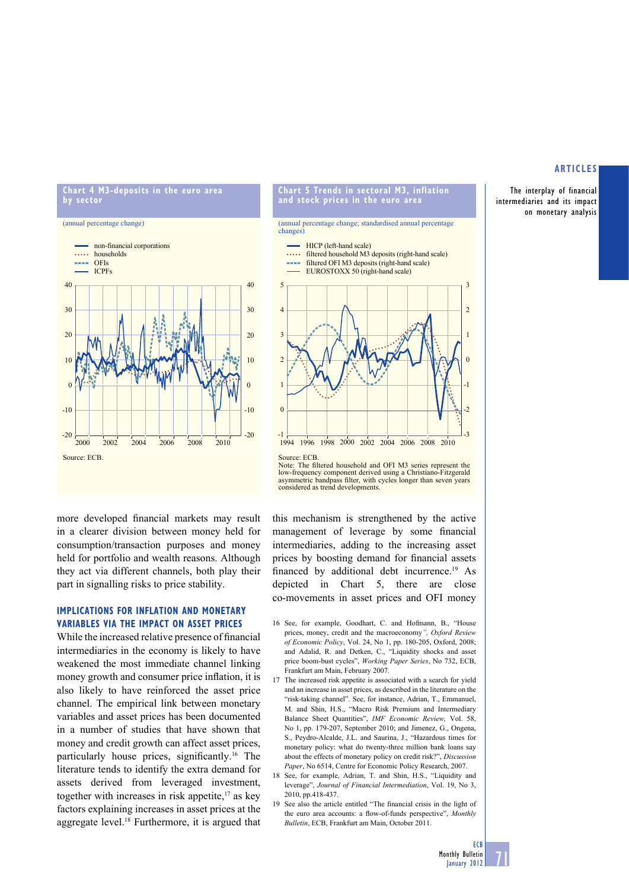The interplay of financial intermediaries and its impact on monetary analysis

#### **Chart 4 M3-deposits in the euro area by sector**





more developed financial markets may result in a clearer division between money held for consumption/transaction purposes and money held for portfolio and wealth reasons. Although they act via different channels, both play their part in signalling risks to price stability.

## **IMPLICATIONS FOR INFLATION AND MONETARY VARIABLES VIA THE IMPACT ON ASSET PRICES**

While the increased relative presence of financial intermediaries in the economy is likely to have weakened the most immediate channel linking money growth and consumer price inflation, it is also likely to have reinforced the asset price channel. The empirical link between monetary variables and asset prices has been documented in a number of studies that have shown that money and credit growth can affect asset prices, particularly house prices, significantly.<sup>16</sup> The literature tends to identify the extra demand for assets derived from leveraged investment, together with increases in risk appetite, $17$  as key factors explaining increases in asset prices at the aggregate level.<sup>18</sup> Furthermore, it is argued that



**Chart 5 Trends in sectoral M3, inflation and stock prices in the euro area**

Note: The filtered household and OFI M3 series represent the low-frequency component derived using a Christiano-Fitzgerald asymmetric bandpass filter, with cycles longer than seven years considered as trend developments.

this mechanism is strengthened by the active management of leverage by some financial intermediaries, adding to the increasing asset prices by boosting demand for financial assets financed by additional debt incurrence.<sup>19</sup> As depicted in Chart 5, there are close co-movements in asset prices and OFI money

- 16 See, for example, Goodhart, C. and Hofmann, B., "House prices, money, credit and the macroeconomy*", Oxford Review of Economic Policy*, Vol. 24, No 1, pp. 180-205, Oxford, 2008; and Adalid, R. and Detken, C., "Liquidity shocks and asset price boom-bust cycles", *Working Paper Series*, No 732, ECB, Frankfurt am Main, February 2007.
- 17 The increased risk appetite is associated with a search for yield and an increase in asset prices, as described in the literature on the "risk-taking channel". See, for instance, Adrian, T., Emmanuel, M. and Shin, H.S., "Macro Risk Premium and Intermediary Balance Sheet Quantities", *IMF Economic Review,* Vol. 58, No 1, pp. 179-207, September 2010; and Jimenez, G., Ongena, S., Peydro-Alcalde, J.L. and Saurina, J., "Hazardous times for monetary policy: what do twenty-three million bank loans say about the effects of monetary policy on credit risk?", *Discussion Paper*, No 6514, Centre for Economic Policy Research, 2007.
- 18 See, for example, Adrian, T. and Shin, H.S., "Liquidity and leverage", *Journal of Financial Intermediation*, Vol. 19, No 3, 2010, pp.418-437.
- 19 See also the article entitled "The financial crisis in the light of the euro area accounts: a flow-of-funds perspective", *Monthly Bulletin*, ECB, Frankfurt am Main, October 2011.

71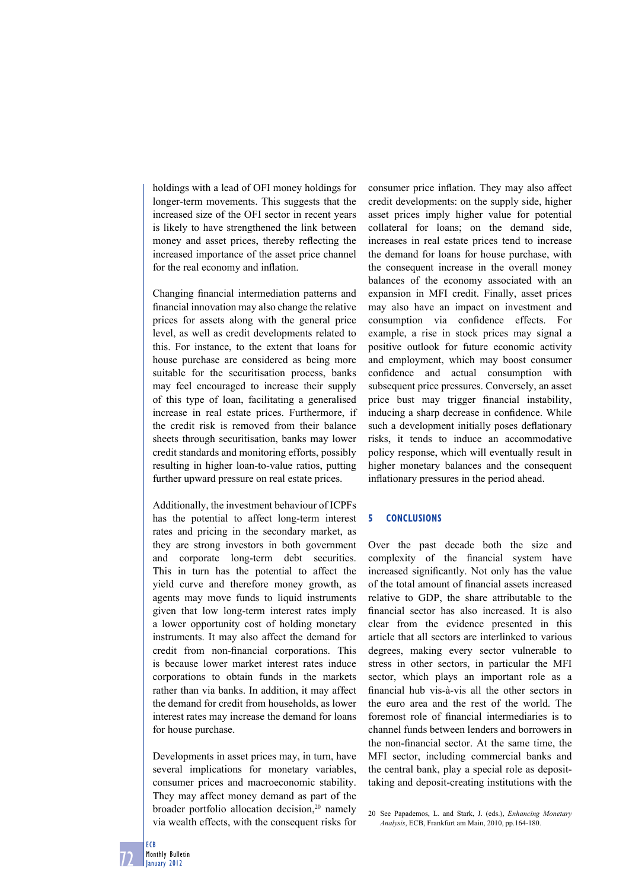holdings with a lead of OFI money holdings for longer-term movements. This suggests that the increased size of the OFI sector in recent years is likely to have strengthened the link between money and asset prices, thereby reflecting the increased importance of the asset price channel for the real economy and inflation.

Changing financial intermediation patterns and financial innovation may also change the relative prices for assets along with the general price level, as well as credit developments related to this. For instance, to the extent that loans for house purchase are considered as being more suitable for the securitisation process, banks may feel encouraged to increase their supply of this type of loan, facilitating a generalised increase in real estate prices. Furthermore, if the credit risk is removed from their balance sheets through securitisation, banks may lower credit standards and monitoring efforts, possibly resulting in higher loan-to-value ratios, putting further upward pressure on real estate prices.

Additionally, the investment behaviour of ICPFs has the potential to affect long-term interest rates and pricing in the secondary market, as they are strong investors in both government and corporate long-term debt securities. This in turn has the potential to affect the yield curve and therefore money growth, as agents may move funds to liquid instruments given that low long-term interest rates imply a lower opportunity cost of holding monetary instruments. It may also affect the demand for credit from non-financial corporations. This is because lower market interest rates induce corporations to obtain funds in the markets rather than via banks. In addition, it may affect the demand for credit from households, as lower interest rates may increase the demand for loans for house purchase.

Developments in asset prices may, in turn, have several implications for monetary variables, consumer prices and macroeconomic stability. They may affect money demand as part of the broader portfolio allocation decision,<sup>20</sup> namely via wealth effects, with the consequent risks for

consumer price inflation. They may also affect credit developments: on the supply side, higher asset prices imply higher value for potential collateral for loans; on the demand side, increases in real estate prices tend to increase the demand for loans for house purchase, with the consequent increase in the overall money balances of the economy associated with an expansion in MFI credit. Finally, asset prices may also have an impact on investment and consumption via confidence effects. For example, a rise in stock prices may signal a positive outlook for future economic activity and employment, which may boost consumer confidence and actual consumption with subsequent price pressures. Conversely, an asset price bust may trigger financial instability, inducing a sharp decrease in confidence. While such a development initially poses deflationary risks, it tends to induce an accommodative policy response, which will eventually result in higher monetary balances and the consequent inflationary pressures in the period ahead.

## **5 CONCLUSIONS**

Over the past decade both the size and complexity of the financial system have increased significantly. Not only has the value of the total amount of financial assets increased relative to GDP, the share attributable to the financial sector has also increased. It is also clear from the evidence presented in this article that all sectors are interlinked to various degrees, making every sector vulnerable to stress in other sectors, in particular the MFI sector, which plays an important role as a financial hub vis-à-vis all the other sectors in the euro area and the rest of the world. The foremost role of financial intermediaries is to channel funds between lenders and borrowers in the non-financial sector. At the same time, the MFI sector, including commercial banks and the central bank, play a special role as deposittaking and deposit-creating institutions with the

<sup>20</sup> See Papademos, L. and Stark, J. (eds.), *Enhancing Monetary Analysis*, ECB, Frankfurt am Main, 2010, pp.164-180.